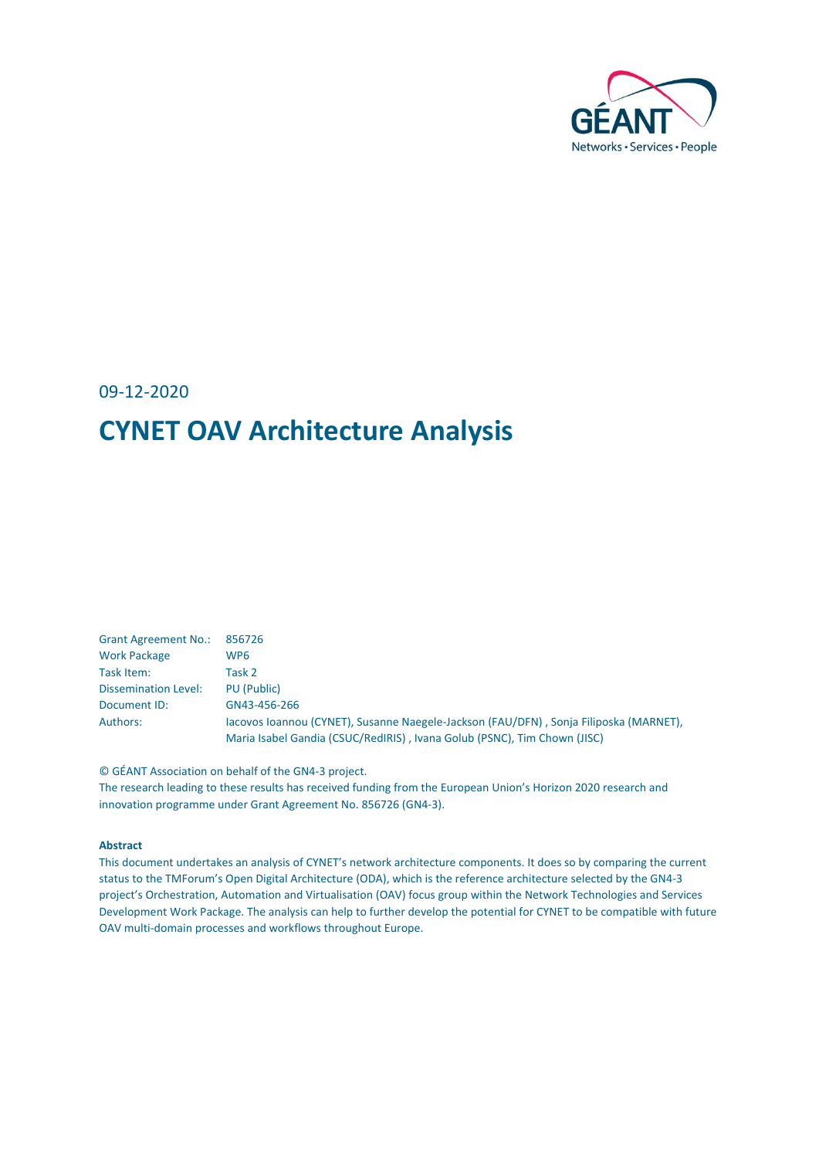

09-12-2020

## **CYNET OAV Architecture Analysis**

| <b>Grant Agreement No.:</b> | 856726                                                                                |
|-----------------------------|---------------------------------------------------------------------------------------|
| <b>Work Package</b>         | WP6                                                                                   |
| Task Item:                  | Task 2                                                                                |
| <b>Dissemination Level:</b> | PU (Public)                                                                           |
| Document ID:                | GN43-456-266                                                                          |
| Authors:                    | lacovos Ioannou (CYNET), Susanne Naegele-Jackson (FAU/DFN), Sonja Filiposka (MARNET), |
|                             | Maria Isabel Gandia (CSUC/RedIRIS), Ivana Golub (PSNC), Tim Chown (JISC)              |

© GÉANT Association on behalf of the GN4-3 project.

The research leading to these results has received funding from the European Union's Horizon 2020 research and innovation programme under Grant Agreement No. 856726 (GN4-3).

#### **Abstract**

This document undertakes an analysis of CYNET's network architecture components. It does so by comparing the current status to the TMForum's Open Digital Architecture (ODA), which is the reference architecture selected by the GN4-3 project's Orchestration, Automation and Virtualisation (OAV) focus group within the Network Technologies and Services Development Work Package. The analysis can help to further develop the potential for CYNET to be compatible with future OAV multi-domain processes and workflows throughout Europe.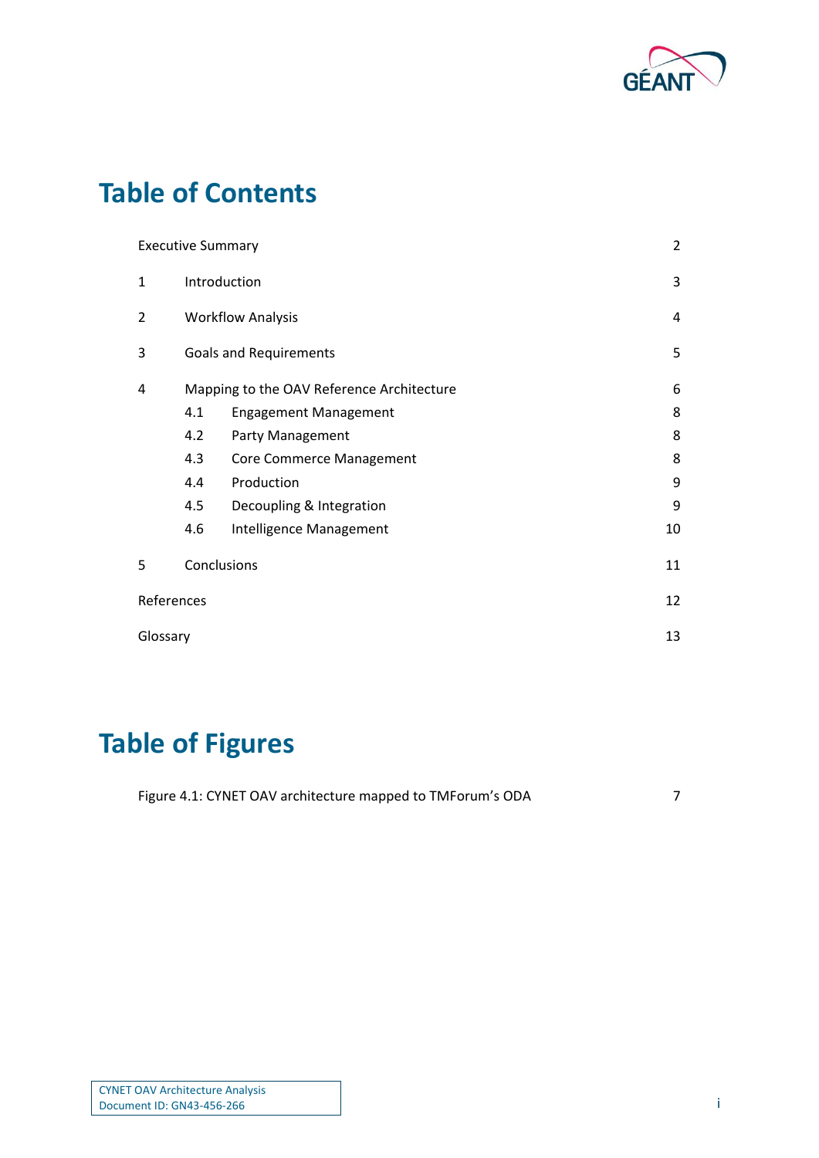

## **Table of Contents**

|              |              | <b>Executive Summary</b>                  | $\overline{2}$ |  |
|--------------|--------------|-------------------------------------------|----------------|--|
| $\mathbf{1}$ | Introduction |                                           |                |  |
| 2            |              | <b>Workflow Analysis</b>                  |                |  |
| 3            |              | 5<br><b>Goals and Requirements</b>        |                |  |
| 4            |              | Mapping to the OAV Reference Architecture | 6              |  |
|              | 4.1          | <b>Engagement Management</b>              | 8              |  |
|              | 4.2          | Party Management                          | 8              |  |
|              | 4.3          | <b>Core Commerce Management</b>           | 8              |  |
|              | 4.4          | Production                                | 9              |  |
|              | 4.5          | Decoupling & Integration                  | 9              |  |
|              | 4.6          | Intelligence Management                   | 10             |  |
| 5            | Conclusions  |                                           | 11             |  |
| References   |              |                                           | 12             |  |
| Glossary     |              |                                           | 13             |  |

# **Table of Figures**

| Figure 4.1: CYNET OAV architecture mapped to TMForum's ODA |  |
|------------------------------------------------------------|--|
|------------------------------------------------------------|--|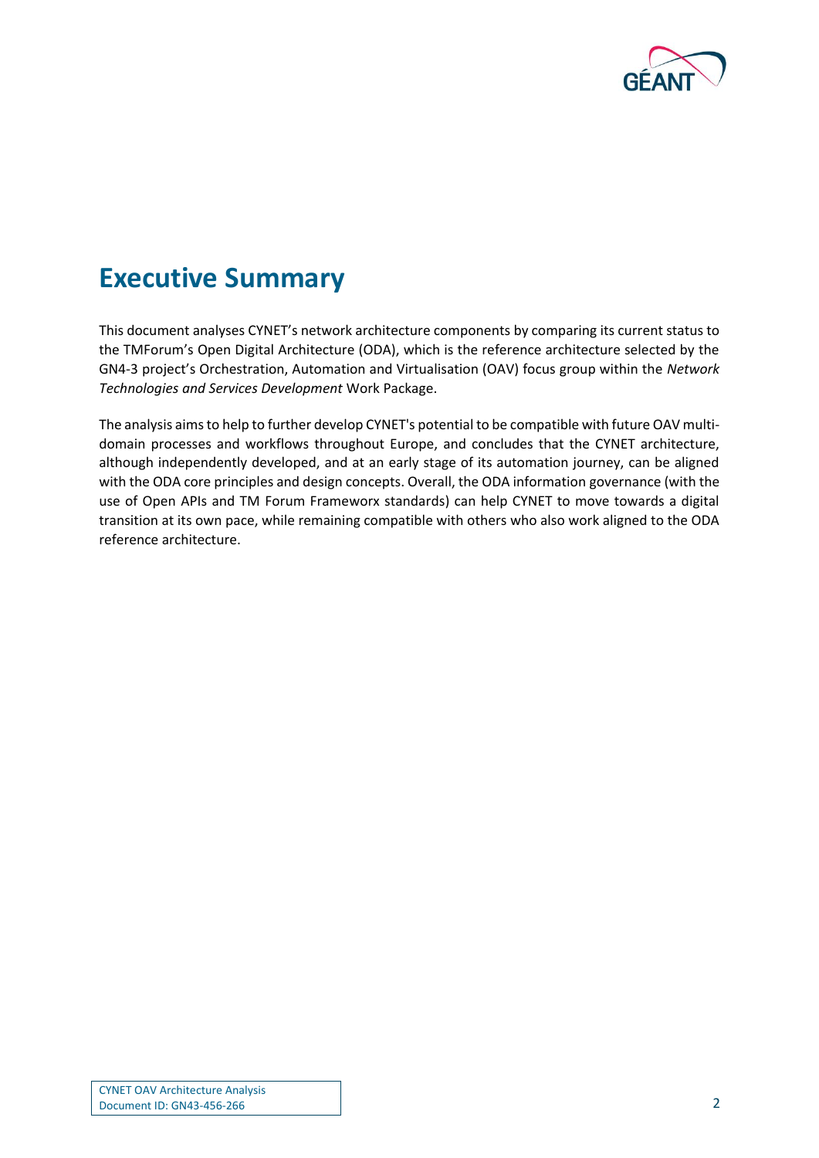

## <span id="page-2-0"></span>**Executive Summary**

This document analyses CYNET's network architecture components by comparing its current status to the TMForum's Open Digital Architecture (ODA), which is the reference architecture selected by the GN4-3 project's Orchestration, Automation and Virtualisation (OAV) focus group within the *Network Technologies and Services Development* Work Package.

The analysis aims to help to further develop CYNET's potential to be compatible with future OAV multidomain processes and workflows throughout Europe, and concludes that the CYNET architecture, although independently developed, and at an early stage of its automation journey, can be aligned with the ODA core principles and design concepts. Overall, the ODA information governance (with the use of Open APIs and TM Forum Frameworx standards) can help CYNET to move towards a digital transition at its own pace, while remaining compatible with others who also work aligned to the ODA reference architecture.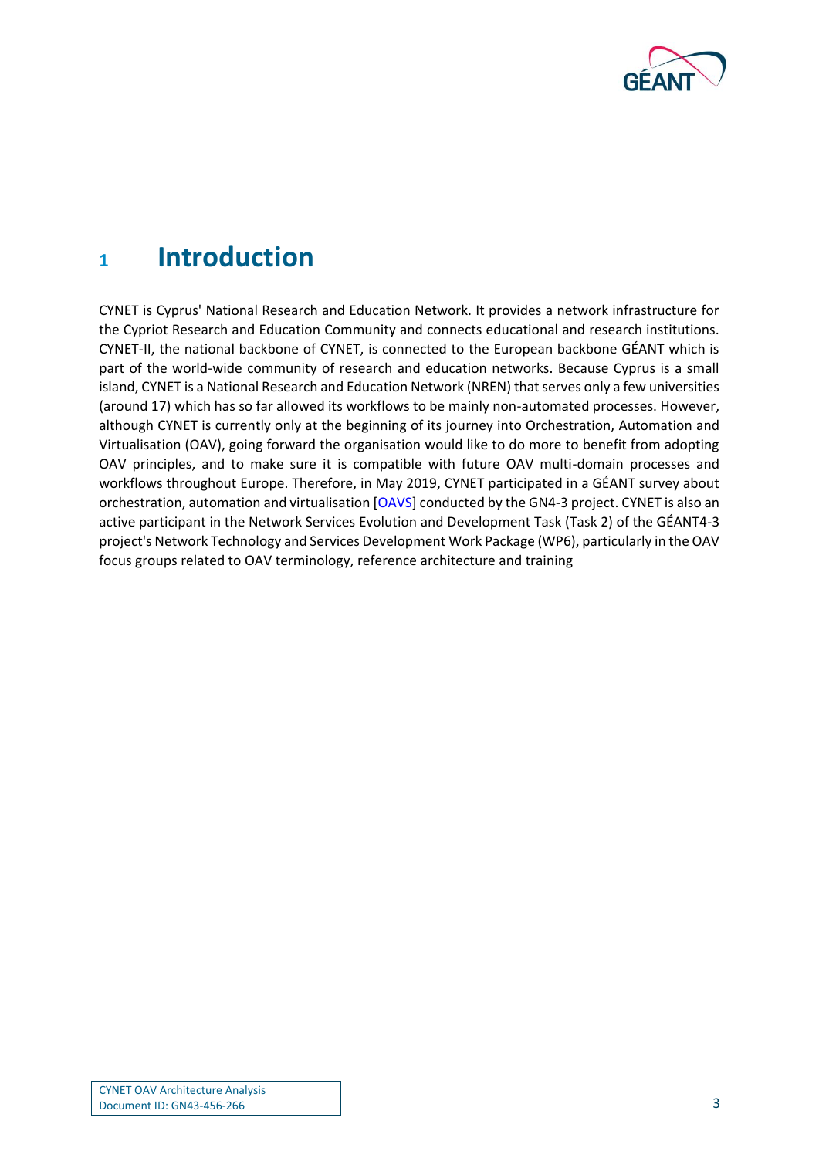

### <span id="page-3-0"></span>**<sup>1</sup> Introduction**

CYNET is Cyprus' National Research and Education Network. It provides a network infrastructure for the Cypriot Research and Education Community and connects educational and research institutions. CYNET-II, the national backbone of CYNET, is connected to the European backbone GÉANT which is part of the world-wide community of research and education networks. Because Cyprus is a small island, CYNET is a National Research and Education Network (NREN) that serves only a few universities (around 17) which has so far allowed its workflows to be mainly non-automated processes. However, although CYNET is currently only at the beginning of its journey into Orchestration, Automation and Virtualisation (OAV), going forward the organisation would like to do more to benefit from adopting OAV principles, and to make sure it is compatible with future OAV multi-domain processes and workflows throughout Europe. Therefore, in May 2019, CYNET participated in a GÉANT survey about orchestration, automation and virtualisation [\[OAVS\]](#page-12-1) conducted by the GN4-3 project. CYNET is also an active participant in the Network Services Evolution and Development Task (Task 2) of the GÉANT4-3 project's Network Technology and Services Development Work Package (WP6), particularly in the OAV focus groups related to OAV terminology, reference architecture and training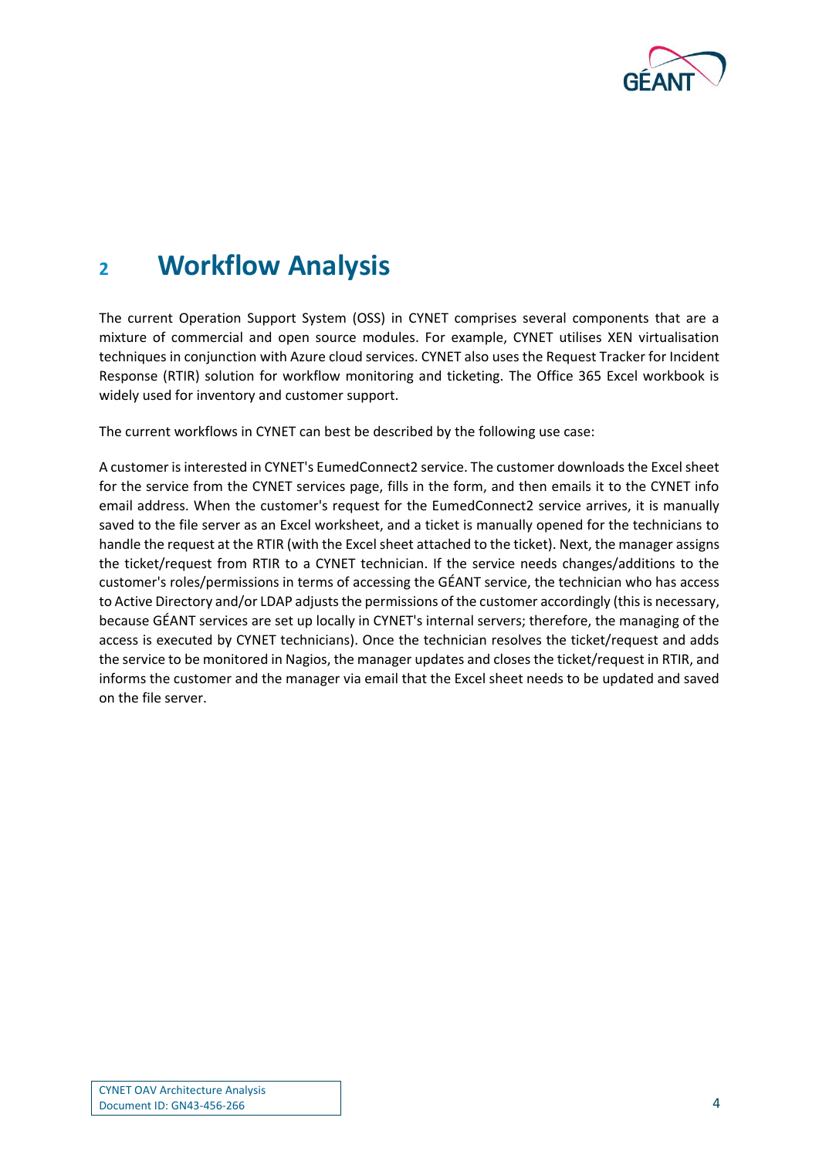

## <span id="page-4-0"></span>**<sup>2</sup> Workflow Analysis**

The current Operation Support System (OSS) in CYNET comprises several components that are a mixture of commercial and open source modules. For example, CYNET utilises XEN virtualisation techniques in conjunction with Azure cloud services. CYNET also uses the Request Tracker for Incident Response (RTIR) solution for workflow monitoring and ticketing. The Office 365 Excel workbook is widely used for inventory and customer support.

The current workflows in CYNET can best be described by the following use case:

A customer is interested in CYNET's EumedConnect2 service. The customer downloads the Excel sheet for the service from the CYNET services page, fills in the form, and then emails it to the CYNET info email address. When the customer's request for the EumedConnect2 service arrives, it is manually saved to the file server as an Excel worksheet, and a ticket is manually opened for the technicians to handle the request at the RTIR (with the Excel sheet attached to the ticket). Next, the manager assigns the ticket/request from RTIR to a CYNET technician. If the service needs changes/additions to the customer's roles/permissions in terms of accessing the GÉANT service, the technician who has access to Active Directory and/or LDAP adjusts the permissions of the customer accordingly (this is necessary, because GÉANT services are set up locally in CYNET's internal servers; therefore, the managing of the access is executed by CYNET technicians). Once the technician resolves the ticket/request and adds the service to be monitored in Nagios, the manager updates and closes the ticket/request in RTIR, and informs the customer and the manager via email that the Excel sheet needs to be updated and saved on the file server.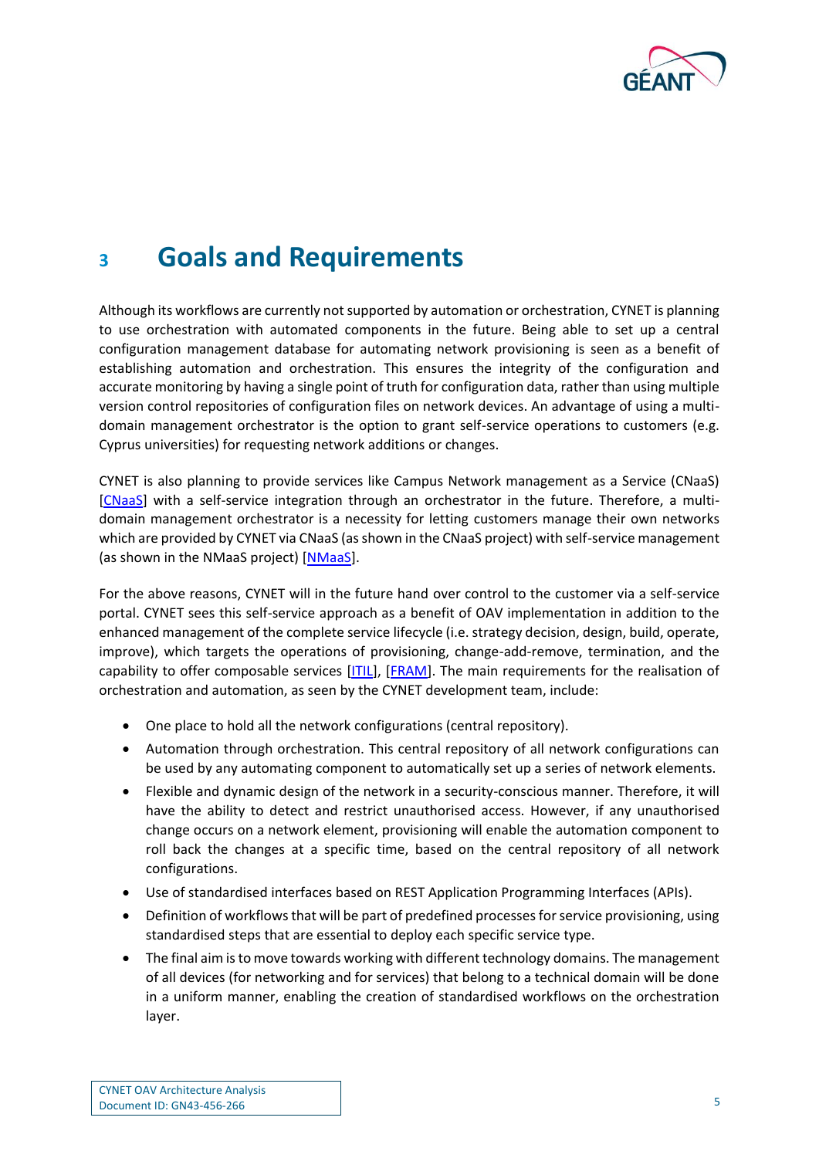

## <span id="page-5-0"></span>**<sup>3</sup> Goals and Requirements**

Although its workflows are currently not supported by automation or orchestration, CYNET is planning to use orchestration with automated components in the future. Being able to set up a central configuration management database for automating network provisioning is seen as a benefit of establishing automation and orchestration. This ensures the integrity of the configuration and accurate monitoring by having a single point of truth for configuration data, rather than using multiple version control repositories of configuration files on network devices. An advantage of using a multidomain management orchestrator is the option to grant self-service operations to customers (e.g. Cyprus universities) for requesting network additions or changes.

CYNET is also planning to provide services like Campus Network management as a Service (CNaaS) [\[CNaaS\]](#page-12-2) with a self-service integration through an orchestrator in the future. Therefore, a multidomain management orchestrator is a necessity for letting customers manage their own networks which are provided by CYNET via CNaaS (as shown in the CNaaS project) with self-service management (as shown in the NMaaS project) [\[NMaaS\]](#page-12-3).

For the above reasons, CYNET will in the future hand over control to the customer via a self-service portal. CYNET sees this self-service approach as a benefit of OAV implementation in addition to the enhanced management of the complete service lifecycle (i.e. strategy decision, design, build, operate, improve), which targets the operations of provisioning, change-add-remove, termination, and the capability to offer composable services [\[ITIL\]](#page-12-4), [\[FRAM\]](#page-12-5). The main requirements for the realisation of orchestration and automation, as seen by the CYNET development team, include:

- One place to hold all the network configurations (central repository).
- Automation through orchestration. This central repository of all network configurations can be used by any automating component to automatically set up a series of network elements.
- Flexible and dynamic design of the network in a security-conscious manner. Therefore, it will have the ability to detect and restrict unauthorised access. However, if any unauthorised change occurs on a network element, provisioning will enable the automation component to roll back the changes at a specific time, based on the central repository of all network configurations.
- Use of standardised interfaces based on REST Application Programming Interfaces (APIs).
- Definition of workflows that will be part of predefined processes for service provisioning, using standardised steps that are essential to deploy each specific service type.
- The final aim is to move towards working with different technology domains. The management of all devices (for networking and for services) that belong to a technical domain will be done in a uniform manner, enabling the creation of standardised workflows on the orchestration layer.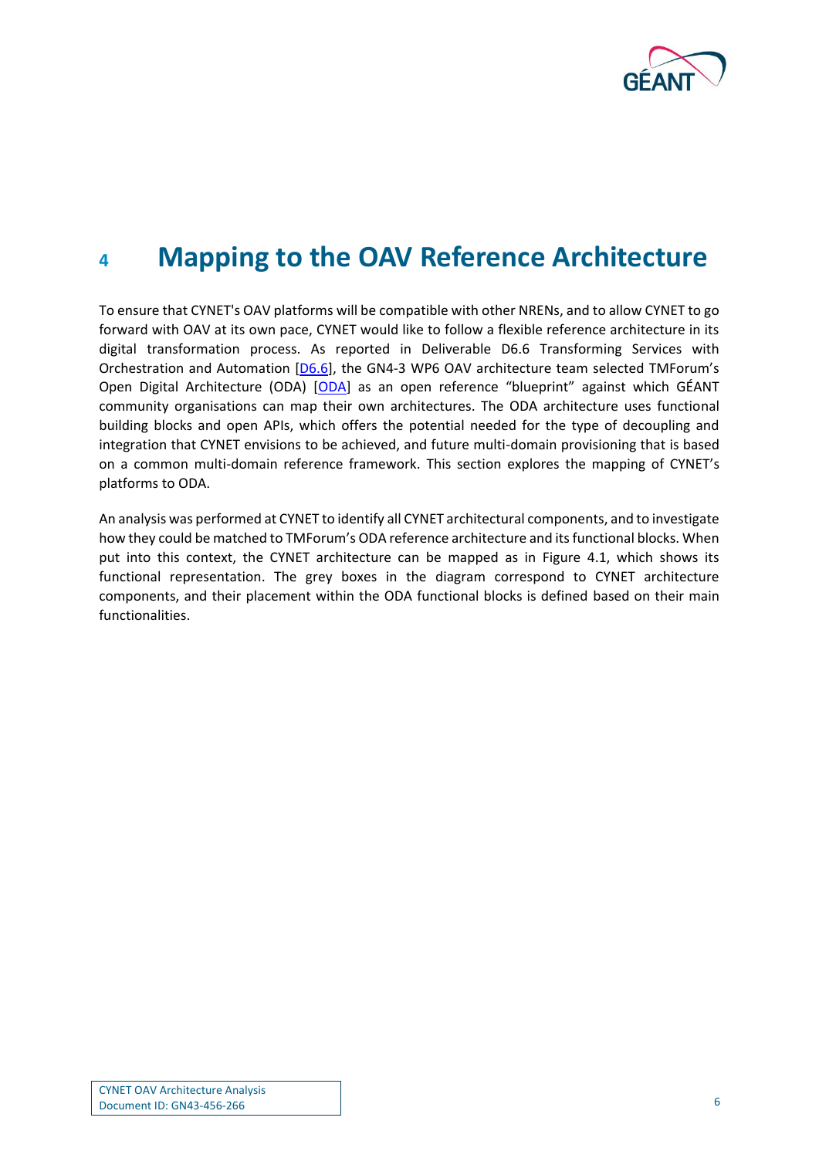

## <span id="page-6-0"></span>**<sup>4</sup> Mapping to the OAV Reference Architecture**

To ensure that CYNET's OAV platforms will be compatible with other NRENs, and to allow CYNET to go forward with OAV at its own pace, CYNET would like to follow a flexible reference architecture in its digital transformation process. As reported in Deliverable D6.6 Transforming Services with Orchestration and Automation [\[D6.6\]](#page-12-6), the GN4-3 WP6 OAV architecture team selected TMForum's Open Digital Architecture (ODA) [\[ODA](#page-12-7)] as an open reference "blueprint" against which GÉANT community organisations can map their own architectures. The ODA architecture uses functional building blocks and open APIs, which offers the potential needed for the type of decoupling and integration that CYNET envisions to be achieved, and future multi-domain provisioning that is based on a common multi-domain reference framework. This section explores the mapping of CYNET's platforms to ODA.

An analysis was performed at CYNET to identify all CYNET architectural components, and to investigate how they could be matched to TMForum's ODA reference architecture and its functional blocks. When put into this context, the CYNET architecture can be mapped as in Figure 4.1, which shows its functional representation. The grey boxes in the diagram correspond to CYNET architecture components, and their placement within the ODA functional blocks is defined based on their main functionalities.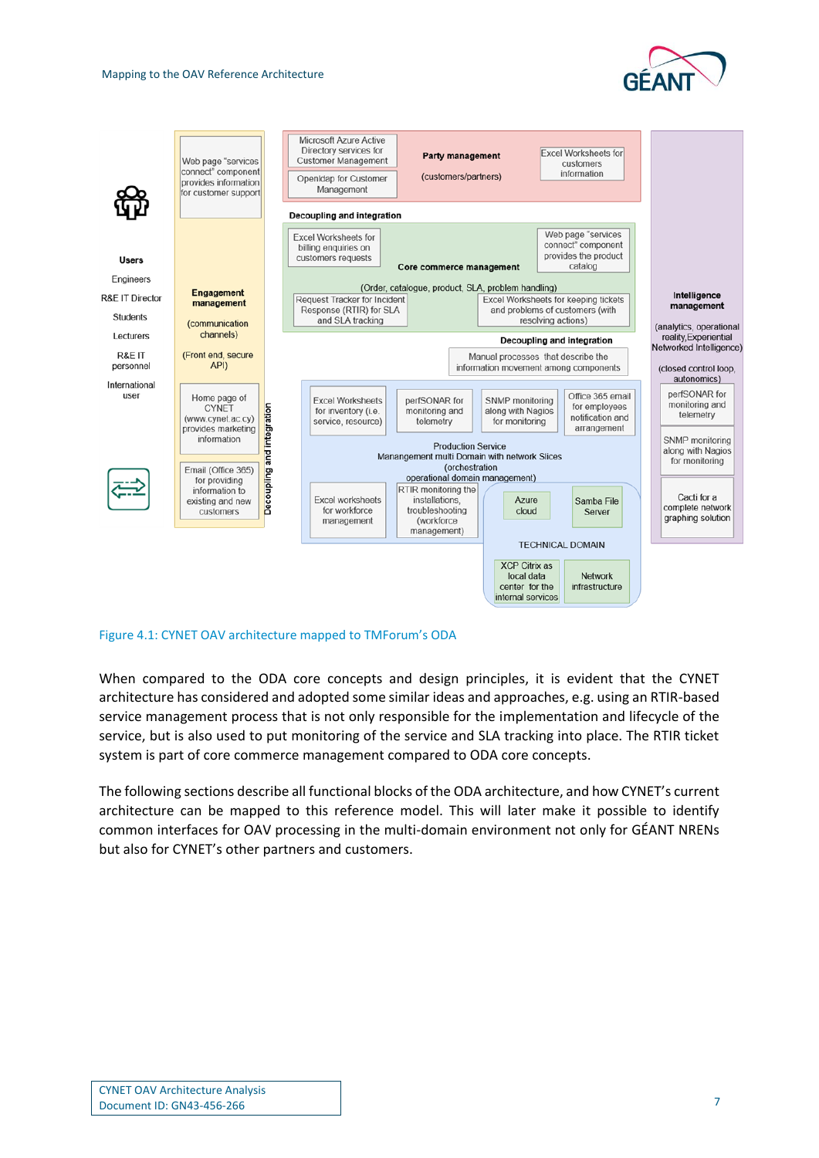#### Mapping to the OAV Reference Architecture





#### <span id="page-7-0"></span>Figure 4.1: CYNET OAV architecture mapped to TMForum's ODA

When compared to the ODA core concepts and design principles, it is evident that the CYNET architecture has considered and adopted some similar ideas and approaches, e.g. using an RTIR-based service management process that is not only responsible for the implementation and lifecycle of the service, but is also used to put monitoring of the service and SLA tracking into place. The RTIR ticket system is part of core commerce management compared to ODA core concepts.

The following sections describe all functional blocks of the ODA architecture, and how CYNET's current architecture can be mapped to this reference model. This will later make it possible to identify common interfaces for OAV processing in the multi-domain environment not only for GÉANT NRENs but also for CYNET's other partners and customers.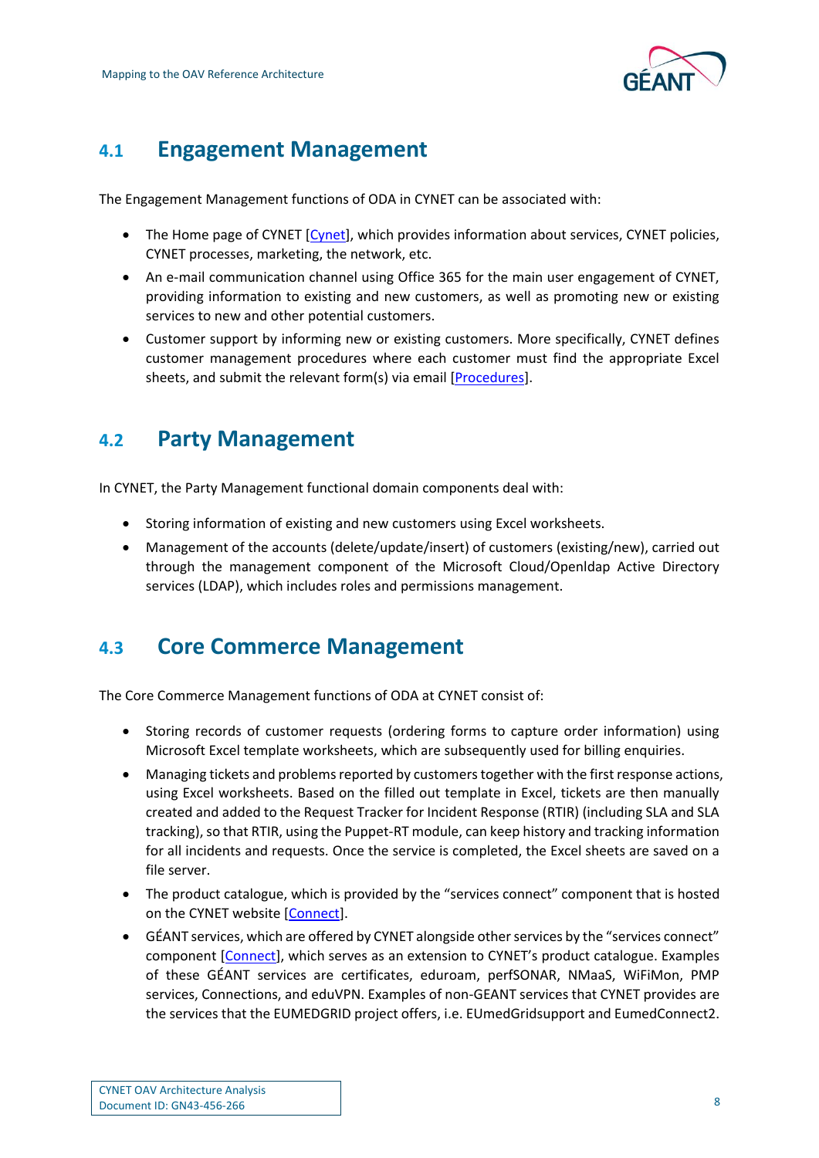

### <span id="page-8-0"></span>**4.1 Engagement Management**

The Engagement Management functions of ODA in CYNET can be associated with:

- The Home page of CYNET [\[Cynet\]](#page-12-8), which provides information about services, CYNET policies, CYNET processes, marketing, the network, etc.
- An e-mail communication channel using Office 365 for the main user engagement of CYNET, providing information to existing and new customers, as well as promoting new or existing services to new and other potential customers.
- Customer support by informing new or existing customers. More specifically, CYNET defines customer management procedures where each customer must find the appropriate Excel sheets, and submit the relevant form(s) via email [\[Procedures\]](#page-12-9).

### <span id="page-8-1"></span>**4.2 Party Management**

In CYNET, the Party Management functional domain components deal with:

- Storing information of existing and new customers using Excel worksheets.
- Management of the accounts (delete/update/insert) of customers (existing/new), carried out through the management component of the Microsoft Cloud/Openldap Active Directory services (LDAP), which includes roles and permissions management.

### <span id="page-8-2"></span>**4.3 Core Commerce Management**

The Core Commerce Management functions of ODA at CYNET consist of:

- Storing records of customer requests (ordering forms to capture order information) using Microsoft Excel template worksheets, which are subsequently used for billing enquiries.
- Managing tickets and problems reported by customers together with the first response actions, using Excel worksheets. Based on the filled out template in Excel, tickets are then manually created and added to the Request Tracker for Incident Response (RTIR) (including SLA and SLA tracking), so that RTIR, using the Puppet-RT module, can keep history and tracking information for all incidents and requests. Once the service is completed, the Excel sheets are saved on a file server.
- The product catalogue, which is provided by the "services connect" component that is hosted on the CYNET website [\[Connect\]](#page-12-10).
- GÉANT services, which are offered by CYNET alongside other services by the "services connect" component [\[Connect\]](#page-12-10), which serves as an extension to CYNET's product catalogue. Examples of these GÉANT services are certificates, eduroam, perfSONAR, NMaaS, WiFiMon, PMP services, Connections, and eduVPN. Examples of non-GEANT services that CYNET provides are the services that the EUMEDGRID project offers, i.e. EUmedGridsupport and EumedConnect2.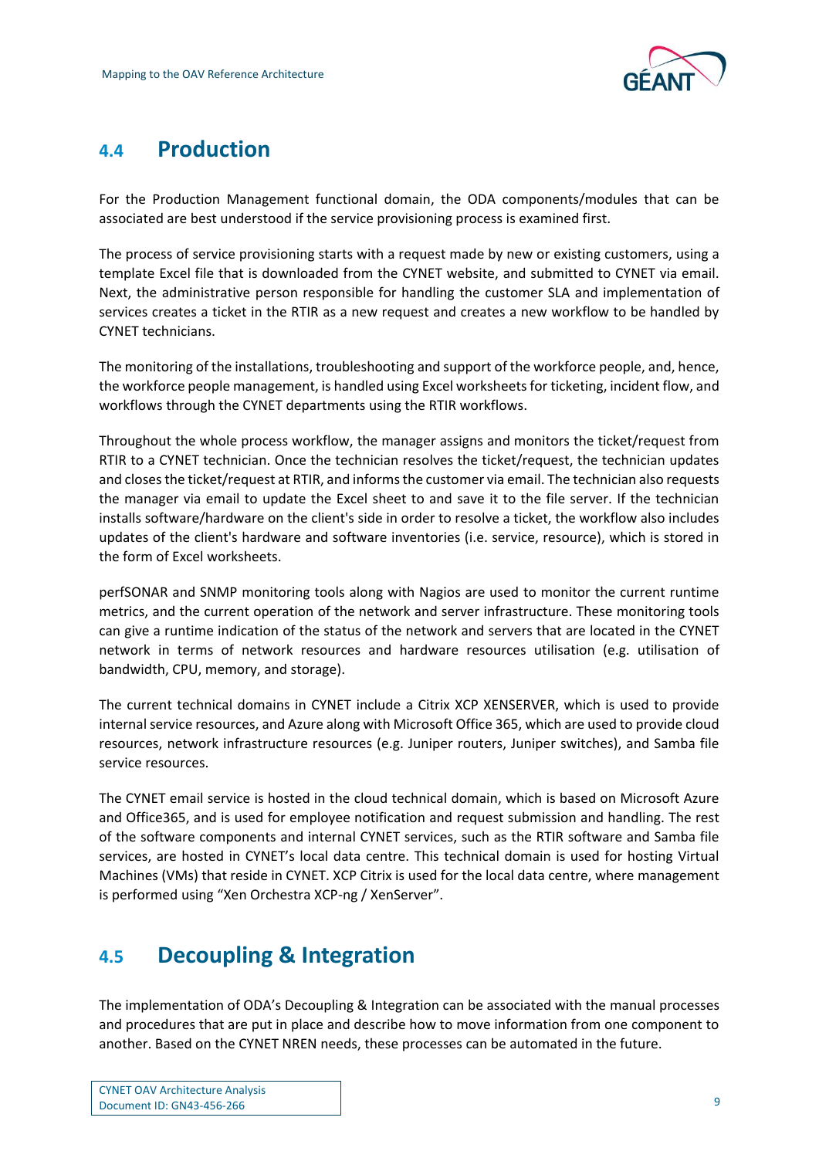

### <span id="page-9-0"></span>**4.4 Production**

For the Production Management functional domain, the ODA components/modules that can be associated are best understood if the service provisioning process is examined first.

The process of service provisioning starts with a request made by new or existing customers, using a template Excel file that is downloaded from the CYNET website, and submitted to CYNET via email. Next, the administrative person responsible for handling the customer SLA and implementation of services creates a ticket in the RTIR as a new request and creates a new workflow to be handled by CYNET technicians.

The monitoring of the installations, troubleshooting and support of the workforce people, and, hence, the workforce people management, is handled using Excel worksheets for ticketing, incident flow, and workflows through the CYNET departments using the RTIR workflows.

Throughout the whole process workflow, the manager assigns and monitors the ticket/request from RTIR to a CYNET technician. Once the technician resolves the ticket/request, the technician updates and closes the ticket/request at RTIR, and informs the customer via email. The technician also requests the manager via email to update the Excel sheet to and save it to the file server. If the technician installs software/hardware on the client's side in order to resolve a ticket, the workflow also includes updates of the client's hardware and software inventories (i.e. service, resource), which is stored in the form of Excel worksheets.

perfSONAR and SNMP monitoring tools along with Nagios are used to monitor the current runtime metrics, and the current operation of the network and server infrastructure. These monitoring tools can give a runtime indication of the status of the network and servers that are located in the CYNET network in terms of network resources and hardware resources utilisation (e.g. utilisation of bandwidth, CPU, memory, and storage).

The current technical domains in CYNET include a Citrix XCP XENSERVER, which is used to provide internal service resources, and Azure along with Microsoft Office 365, which are used to provide cloud resources, network infrastructure resources (e.g. Juniper routers, Juniper switches), and Samba file service resources.

The CYNET email service is hosted in the cloud technical domain, which is based on Microsoft Azure and Office365, and is used for employee notification and request submission and handling. The rest of the software components and internal CYNET services, such as the RTIR software and Samba file services, are hosted in CYNET's local data centre. This technical domain is used for hosting Virtual Machines (VMs) that reside in CYNET. XCP Citrix is used for the local data centre, where management is performed using "Xen Orchestra XCP-ng / XenServer".

### <span id="page-9-1"></span>**4.5 Decoupling & Integration**

The implementation of ODA's Decoupling & Integration can be associated with the manual processes and procedures that are put in place and describe how to move information from one component to another. Based on the CYNET NREN needs, these processes can be automated in the future.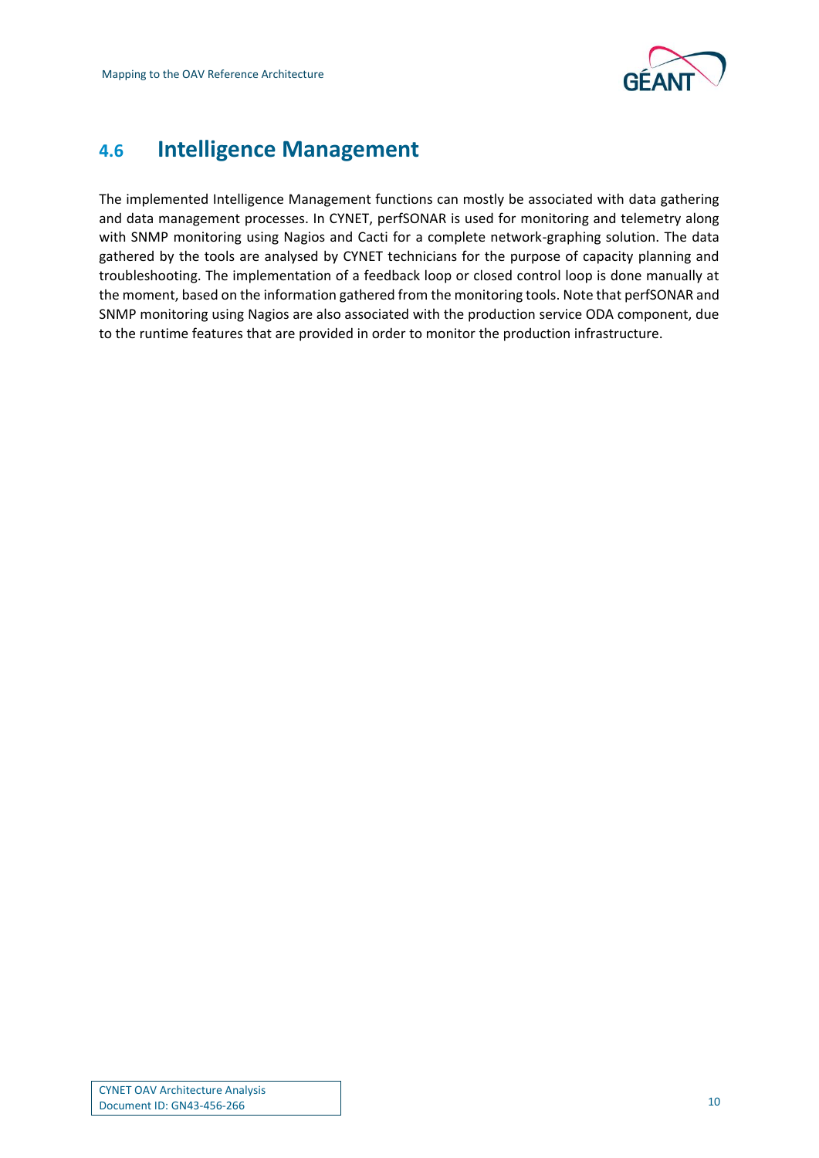

### <span id="page-10-0"></span>**4.6 Intelligence Management**

The implemented Intelligence Management functions can mostly be associated with data gathering and data management processes. In CYNET, perfSONAR is used for monitoring and telemetry along with SNMP monitoring using Nagios and Cacti for a complete network-graphing solution. The data gathered by the tools are analysed by CYNET technicians for the purpose of capacity planning and troubleshooting. The implementation of a feedback loop or closed control loop is done manually at the moment, based on the information gathered from the monitoring tools. Note that perfSONAR and SNMP monitoring using Nagios are also associated with the production service ODA component, due to the runtime features that are provided in order to monitor the production infrastructure.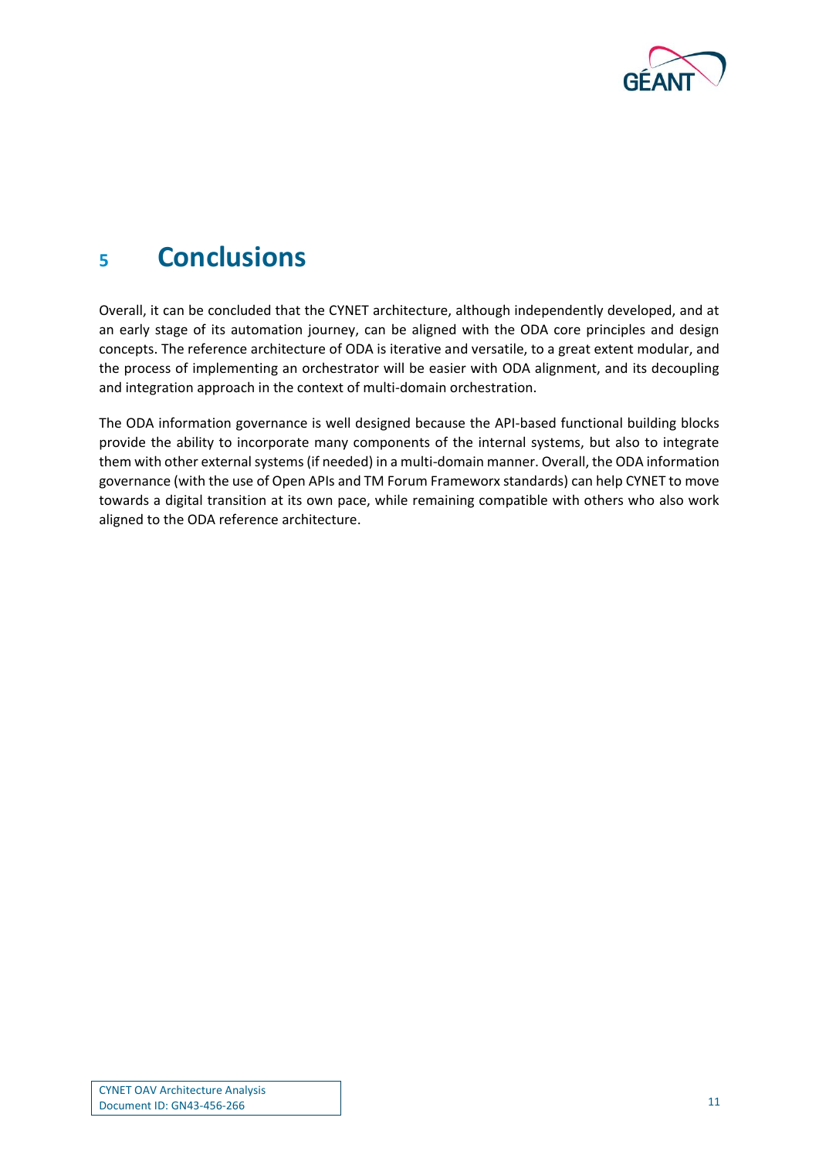

## <span id="page-11-0"></span>**<sup>5</sup> Conclusions**

Overall, it can be concluded that the CYNET architecture, although independently developed, and at an early stage of its automation journey, can be aligned with the ODA core principles and design concepts. The reference architecture of ODA is iterative and versatile, to a great extent modular, and the process of implementing an orchestrator will be easier with ODA alignment, and its decoupling and integration approach in the context of multi-domain orchestration.

The ODA information governance is well designed because the API-based functional building blocks provide the ability to incorporate many components of the internal systems, but also to integrate them with other external systems (if needed) in a multi-domain manner. Overall, the ODA information governance (with the use of Open APIs and TM Forum Frameworx standards) can help CYNET to move towards a digital transition at its own pace, while remaining compatible with others who also work aligned to the ODA reference architecture.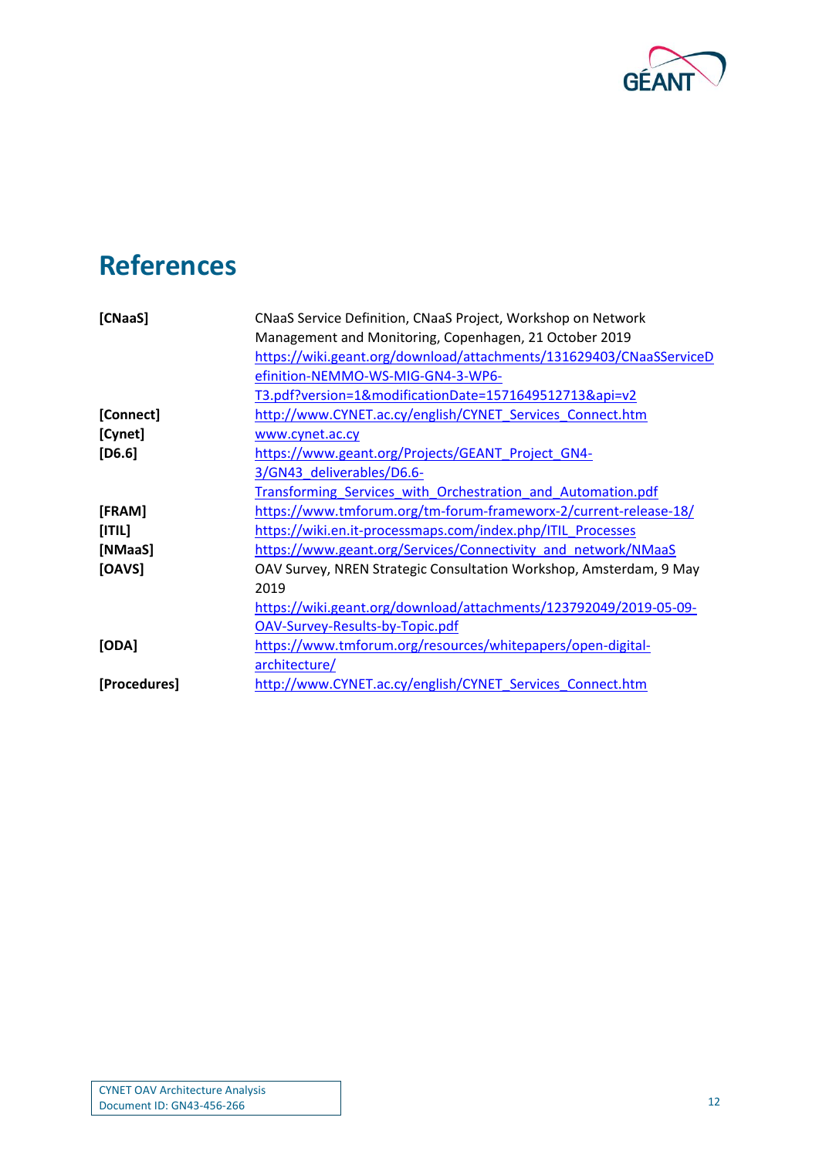

# <span id="page-12-0"></span>**References**

<span id="page-12-10"></span><span id="page-12-9"></span><span id="page-12-8"></span><span id="page-12-7"></span><span id="page-12-6"></span><span id="page-12-5"></span><span id="page-12-4"></span><span id="page-12-3"></span><span id="page-12-2"></span><span id="page-12-1"></span>

| [CNaaS]      | CNaaS Service Definition, CNaaS Project, Workshop on Network        |  |
|--------------|---------------------------------------------------------------------|--|
|              | Management and Monitoring, Copenhagen, 21 October 2019              |  |
|              | https://wiki.geant.org/download/attachments/131629403/CNaaSServiceD |  |
|              | efinition-NEMMO-WS-MIG-GN4-3-WP6-                                   |  |
|              | T3.pdf?version=1&modificationDate=1571649512713&api=v2              |  |
| [Connect]    | http://www.CYNET.ac.cy/english/CYNET Services Connect.htm           |  |
| [Cynet]      | www.cynet.ac.cy                                                     |  |
| $[D6.6]$     | https://www.geant.org/Projects/GEANT Project GN4-                   |  |
|              | 3/GN43 deliverables/D6.6-                                           |  |
|              | Transforming Services with Orchestration and Automation.pdf         |  |
| [FRAM]       | https://www.tmforum.org/tm-forum-frameworx-2/current-release-18/    |  |
| [ T L]       | https://wiki.en.it-processmaps.com/index.php/ITIL Processes         |  |
| [NMaaS]      | https://www.geant.org/Services/Connectivity_and_network/NMaaS       |  |
| [OAVS]       | OAV Survey, NREN Strategic Consultation Workshop, Amsterdam, 9 May  |  |
|              | 2019                                                                |  |
|              | https://wiki.geant.org/download/attachments/123792049/2019-05-09-   |  |
|              | OAV-Survey-Results-by-Topic.pdf                                     |  |
| [ODA]        | https://www.tmforum.org/resources/whitepapers/open-digital-         |  |
|              | architecture/                                                       |  |
| [Procedures] | http://www.CYNET.ac.cy/english/CYNET Services Connect.htm           |  |